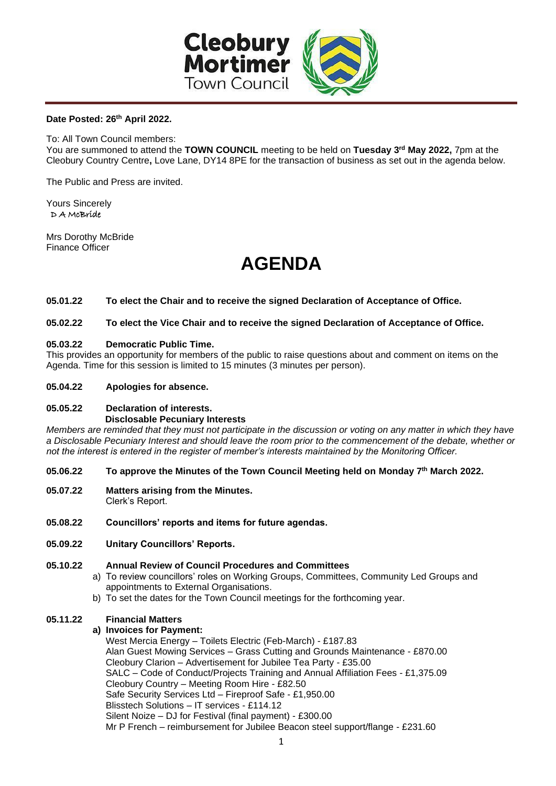

# **Date Posted: 26th April 2022.**

To: All Town Council members:

You are summoned to attend the **TOWN COUNCIL** meeting to be held on **Tuesday 3rd May 2022,** 7pm at the Cleobury Country Centre**,** Love Lane, DY14 8PE for the transaction of business as set out in the agenda below.

The Public and Press are invited.

Yours Sincerely D A McBride

Mrs Dorothy McBride Finance Officer

# **AGENDA**

#### **05.01.22 To elect the Chair and to receive the signed Declaration of Acceptance of Office.**

## **05.02.22 To elect the Vice Chair and to receive the signed Declaration of Acceptance of Office.**

## **05.03.22 Democratic Public Time.**

This provides an opportunity for members of the public to raise questions about and comment on items on the Agenda. Time for this session is limited to 15 minutes (3 minutes per person).

#### **05.04.22 Apologies for absence.**

#### **05.05.22 Declaration of interests. Disclosable Pecuniary Interests**

*Members are reminded that they must not participate in the discussion or voting on any matter in which they have a Disclosable Pecuniary Interest and should leave the room prior to the commencement of the debate, whether or not the interest is entered in the register of member's interests maintained by the Monitoring Officer.*

#### **05.06.22 To approve the Minutes of the Town Council Meeting held on Monday 7 th March 2022.**

- **05.07.22 Matters arising from the Minutes.**  Clerk's Report.
- **05.08.22 Councillors' reports and items for future agendas.**
- **05.09.22 Unitary Councillors' Reports.**

#### **05.10.22 Annual Review of Council Procedures and Committees**

- a) To review councillors' roles on Working Groups, Committees, Community Led Groups and appointments to External Organisations.
- b) To set the dates for the Town Council meetings for the forthcoming year.

#### **05.11.22 Financial Matters**

## **a) Invoices for Payment:**

West Mercia Energy – Toilets Electric (Feb-March) - £187.83 Alan Guest Mowing Services – Grass Cutting and Grounds Maintenance - £870.00 Cleobury Clarion – Advertisement for Jubilee Tea Party - £35.00 SALC – Code of Conduct/Projects Training and Annual Affiliation Fees - £1,375.09 Cleobury Country – Meeting Room Hire - £82.50 Safe Security Services Ltd – Fireproof Safe - £1,950.00 Blisstech Solutions – IT services - £114.12 Silent Noize – DJ for Festival (final payment) - £300.00 Mr P French – reimbursement for Jubilee Beacon steel support/flange - £231.60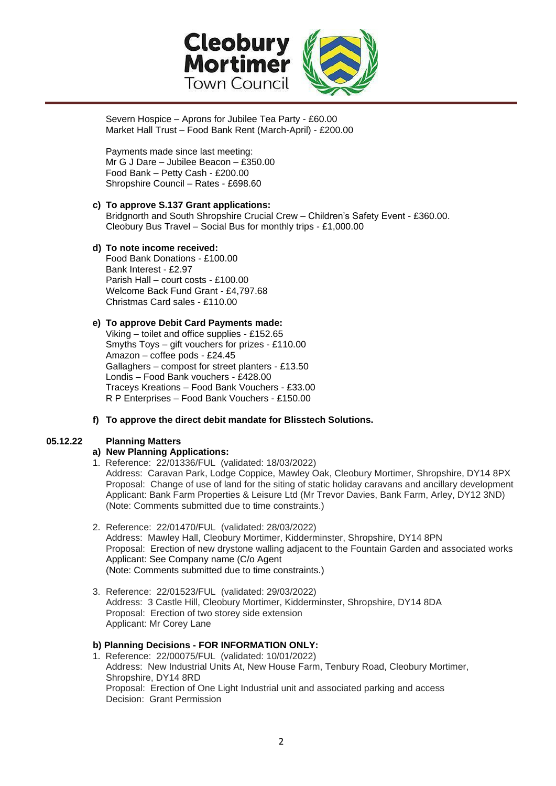

Severn Hospice – Aprons for Jubilee Tea Party - £60.00 Market Hall Trust – Food Bank Rent (March-April) - £200.00

Payments made since last meeting: Mr G J Dare – Jubilee Beacon – £350.00 Food Bank – Petty Cash - £200.00 Shropshire Council – Rates - £698.60

#### **c) To approve S.137 Grant applications:** Bridgnorth and South Shropshire Crucial Crew – Children's Safety Event - £360.00. Cleobury Bus Travel – Social Bus for monthly trips - £1,000.00

# **d) To note income received:**

 Food Bank Donations - £100.00 Bank Interest - £2.97 Parish Hall – court costs - £100.00 Welcome Back Fund Grant - £4,797.68 Christmas Card sales - £110.00

# **e) To approve Debit Card Payments made:**

Viking – toilet and office supplies - £152.65 Smyths Toys – gift vouchers for prizes - £110.00 Amazon – coffee pods - £24.45 Gallaghers – compost for street planters - £13.50 Londis – Food Bank vouchers - £428.00 Traceys Kreations – Food Bank Vouchers - £33.00 R P Enterprises – Food Bank Vouchers - £150.00

# **f) To approve the direct debit mandate for Blisstech Solutions.**

## **05.12.22 Planning Matters**

## **a) New Planning Applications:**

- 1. Reference: 22/01336/FUL (validated: 18/03/2022) Address: Caravan Park, Lodge Coppice, Mawley Oak, Cleobury Mortimer, Shropshire, DY14 8PX Proposal: Change of use of land for the siting of static holiday caravans and ancillary development Applicant: Bank Farm Properties & Leisure Ltd (Mr Trevor Davies, Bank Farm, Arley, DY12 3ND) (Note: Comments submitted due to time constraints.)
- 2. Reference: 22/01470/FUL (validated: 28/03/2022) Address: Mawley Hall, Cleobury Mortimer, Kidderminster, Shropshire, DY14 8PN Proposal: Erection of new drystone walling adjacent to the Fountain Garden and associated works Applicant: See Company name (C/o Agent (Note: Comments submitted due to time constraints.)
- 3. Reference: 22/01523/FUL (validated: 29/03/2022) Address: 3 Castle Hill, Cleobury Mortimer, Kidderminster, Shropshire, DY14 8DA Proposal: Erection of two storey side extension Applicant: Mr Corey Lane

# **b) Planning Decisions - FOR INFORMATION ONLY:**

1. Reference: 22/00075/FUL (validated: 10/01/2022) Address: New Industrial Units At, New House Farm, Tenbury Road, Cleobury Mortimer, Shropshire, DY14 8RD Proposal: Erection of One Light Industrial unit and associated parking and access Decision: Grant Permission